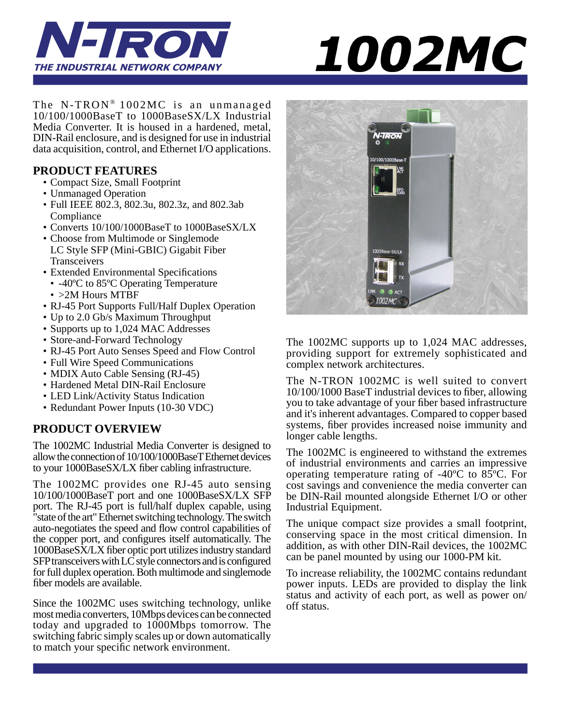



The N-TRON<sup>®</sup> 1002MC is an unmanaged 10/100/1000BaseT to 1000BaseSX/LX Industrial Media Converter. It is housed in a hardened, metal, DIN-Rail enclosure, and is designed for use in industrial data acquisition, control, and Ethernet I/O applications.

## **PRODUCT FEATURES**

- Compact Size, Small Footprint
- Unmanaged Operation
- Full IEEE 802.3, 802.3u, 802.3z, and 802.3ab Compliance
- Converts 10/100/1000BaseT to 1000BaseSX/LX
- Choose from Multimode or Singlemode LC Style SFP (Mini-GBIC) Gigabit Fiber **Transceivers**
- Extended Environmental Specifications
- -40ºC to 85ºC Operating Temperature
- > 2M Hours MTBF
- RJ-45 Port Supports Full/Half Duplex Operation
- Up to 2.0 Gb/s Maximum Throughput
- Supports up to 1,024 MAC Addresses
- Store-and-Forward Technology
- RJ-45 Port Auto Senses Speed and Flow Control
- Full Wire Speed Communications
- MDIX Auto Cable Sensing (RJ-45)
- Hardened Metal DIN-Rail Enclosure
- LED Link/Activity Status Indication
- Redundant Power Inputs (10-30 VDC)

## **PRODUCT OVERVIEW**

The 1002MC Industrial Media Converter is designed to allow the connection of 10/100/1000BaseT Ethernet devices to your 1000BaseSX/LX fiber cabling infrastructure.

The 1002MC provides one RJ-45 auto sensing 10/100/1000BaseT port and one 1000BaseSX/LX SFP port. The RJ-45 port is full/half duplex capable, using state of the art" Ethernet switching technology. The switch auto-negotiates the speed and flow control capabilities of the copper port, and configures itself automatically. The 1000BaseSX/LX fiber optic port utilizes industry standard SFP transceivers with LC style connectors and is configured for full duplex operation. Both multimode and singlemode fiber models are available.

Since the 1002MC uses switching technology, unlike most media converters, 10Mbps devices can be connected today and upgraded to 1000Mbps tomorrow. The switching fabric simply scales up or down automatically to match your specific network environment.



The 1002MC supports up to 1,024 MAC addresses, providing support for extremely sophisticated and complex network architectures.

The N-TRON 1002MC is well suited to convert 10/100/1000 BaseT industrial devices to fiber, allowing you to take advantage of your fiber based infrastructure and it's inherent advantages. Compared to copper based systems, fiber provides increased noise immunity and longer cable lengths.

The 1002MC is engineered to withstand the extremes of industrial environments and carries an impressive operating temperature rating of -40ºC to 85ºC. For cost savings and convenience the media converter can be DIN-Rail mounted alongside Ethernet I/O or other Industrial Equipment.

The unique compact size provides a small footprint, conserving space in the most critical dimension. In addition, as with other DIN-Rail devices, the 1002MC can be panel mounted by using our 1000-PM kit.

To increase reliability, the 1002MC contains redundant power inputs. LEDs are provided to display the link status and activity of each port, as well as power on/ off status.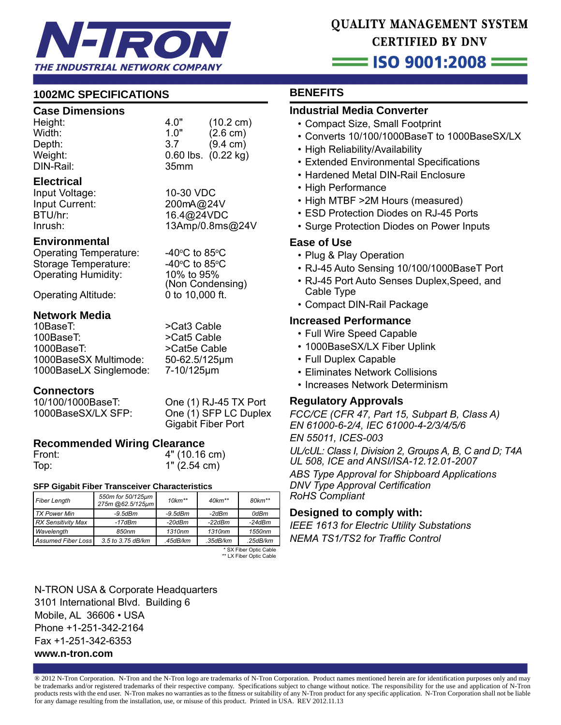

# QUALITY MANAGEMENT SYSTEM **CERTIFIED BY DNV**

## $\equiv$  ISO 9001:2008  $\equiv$

## **1002MC SPECIFICATIONS**

#### **Case Dimensions**

| Height:   | 4.0"             | $(10.2 \text{ cm})$     |
|-----------|------------------|-------------------------|
| Width:    | 1.0"             | $(2.6 \text{ cm})$      |
| Depth:    | 3.7              | $(9.4 \text{ cm})$      |
| Weight:   |                  | $0.60$ lbs. $(0.22$ kg) |
| DIN-Rail: | 35 <sub>mm</sub> |                         |
|           |                  |                         |

#### **Electrical**

Input Voltage: 10-30 VDC

Input Current: 200mA@24V BTU/hr: 16.4@24VDC 13Amp/0.8ms@24V

## **Environmental**

Operating Temperature: Storage Temperature: Operating Humidity: 10% to 95%

C to  $85^{\circ}$ C C to  $85^{\circ}$ C (Non Condensing)

Operating Altitude: 0 to 10,000 ft.

## **Network Media**

10BaseT: >Cat3 Cable 100BaseT: >Cat5 Cable 1000BaseT: > > > > > > > > Cat5e Cable 1000BaseSX Multimode: 50-62.5/125μm 1000BaseLX Singlemode: 7-10/125μm

## **Connectors**

10/100/1000BaseT: One (1) RJ-45 TX Port

1000BaseSX/LX SFP: One (1) SFP LC Duplex Gigabit Fiber Port

## **Recommended Wiring Clearance**

| Front: | 4" (10.16 cm) |
|--------|---------------|
| Top:   | 1" (2.54 cm)  |

#### **SFP Gigabit Fiber Transceiver Characteristics**

| <b>Fiber Length</b>       | 550m for 50/125µm<br>275m @62.5/125µm | $10km**$      | $40km**$ | 80km**   |
|---------------------------|---------------------------------------|---------------|----------|----------|
| <b>TX Power Min</b>       | $-9.5$ d $Bm$                         | $-9.5$ d $Bm$ | -2dBm    | 0dBm     |
| <b>RX Sensitivity Max</b> | $-17dBm$                              | $-20dBm$      | $-22dBm$ | $-24dBm$ |
| Wavelength                | 850nm                                 | 1310nm        | 1310nm   | 1550nm   |
| <b>Assumed Fiber Loss</b> | 3.5 to 3.75 dB/km                     | .45dB/km      | .35dB/km | .25dB/km |

 \* SX Fiber Optic Cable \*\* LX Fiber Optic Cable

N-TRON USA & Corporate Headquarters 3101 International Blvd. Building 6 Mobile, AL 36606 • USA Phone +1-251-342-2164 Fax +1-251-342-6353 **www.n-tron.com** 

## **BENEFITS**

## **Industrial Media Converter**

- Compact Size, Small Footprint
- Converts 10/100/1000BaseT to 1000BaseSX/LX
- High Reliability/Availability
- Extended Environmental Specifications
- Hardened Metal DIN-Rail Enclosure
- High Performance
- High MTBF >2M Hours (measured)
- ESD Protection Diodes on RJ-45 Ports
- Surge Protection Diodes on Power Inputs

#### **Ease of Use**

- Plug & Play Operation
- RJ-45 Auto Sensing 10/100/1000BaseT Port
- RJ-45 Port Auto Senses Duplex,Speed, and Cable Type
- Compact DIN-Rail Package

#### **Increased Performance**

- Full Wire Speed Capable
- 1000BaseSX/LX Fiber Uplink
- Full Duplex Capable
- Eliminates Network Collisions
- Increases Network Determinism

## **Regulatory Approvals**

*FCC/CE (CFR 47, Part 15, Subpart B, Class A) EN 61000-6-2/4, IEC 61000-4-2/3/4/5/6 EN 55011, ICES-003*

*UL/cUL: Class I, Division 2, Groups A, B, C and D; T4A UL 508, ICE and ANSI/ISA-12.12.01-2007*

*ABS Type Approval for Shipboard Applications DNV Type Approval Certification RoHS Compliant*

## **Designed to comply with:**

*IEEE 1613 for Electric Utility Substations* **NEMA TS1/TS2 for Traffic Control** 

® 2012 N-Tron Corporation. N-Tron and the N-Tron logo are trademarks of N-Tron Corporation. Product names mentioned herein are for identifi cation purposes only and may be trademarks and/or registered trademarks of their respective company. Specifications subject to change without notice. The responsibility for the use and application of N-Tron products rests with the end user. N-Tron makes no warranties as to the fitness or suitability of any N-Tron product for any specific application. N-Tron Corporation shall not be liable for any damage resulting from the installation, use, or misuse of this product. Printed in USA. REV 2012.11.13